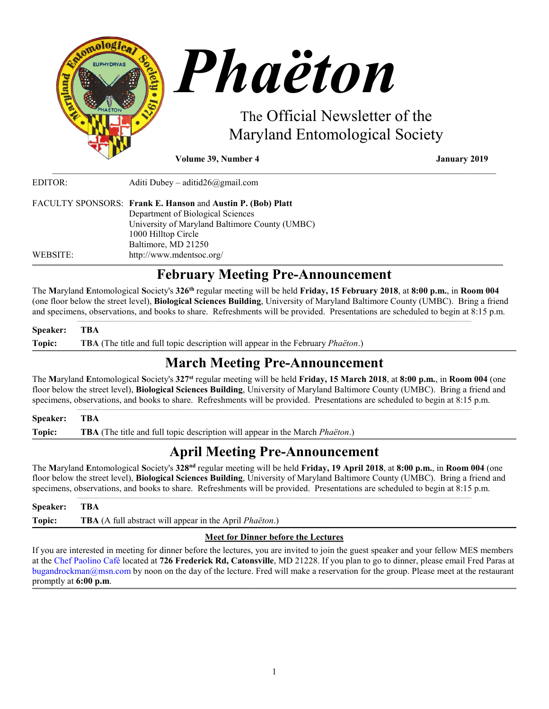

**Volume 39, Number 4 January 2019**

| EDITOR:  | Aditi Dubey – aditid $26$ @gmail.com                                                             |
|----------|--------------------------------------------------------------------------------------------------|
|          | FACULTY SPONSORS: Frank E. Hanson and Austin P. (Bob) Platt<br>Department of Biological Sciences |
|          | University of Maryland Baltimore County (UMBC)                                                   |
|          | 1000 Hilltop Circle                                                                              |
|          | Baltimore, MD 21250                                                                              |
| WEBSITE: | http://www.mdentsoc.org/                                                                         |

# **February Meeting Pre-Announcement**

\_\_\_\_\_\_\_\_\_\_\_\_\_\_\_\_\_\_\_\_\_\_\_\_\_\_\_\_\_\_\_\_\_\_\_\_\_\_\_\_\_\_\_\_\_\_\_\_\_\_\_\_\_\_\_\_\_\_\_\_\_\_\_\_\_\_\_\_\_\_\_\_\_\_\_\_\_\_\_\_\_\_\_\_\_\_\_\_\_\_\_\_\_\_\_\_\_\_\_

The **M**aryland **E**ntomological **S**ociety's **326th** regular meeting will be held **Friday, 15 February 2018**, at **8:00 p.m.**, in **Room 004** (one floor below the street level), **Biological Sciences Building**, University of Maryland Baltimore County (UMBC). Bring a friend and specimens, observations, and books to share. Refreshments will be provided. Presentations are scheduled to begin at 8:15 p.m.  $\mathcal{L}_\text{max} = \mathcal{L}_\text{max} = \mathcal{L}_\text{max} = \mathcal{L}_\text{max} = \mathcal{L}_\text{max} = \mathcal{L}_\text{max} = \mathcal{L}_\text{max} = \mathcal{L}_\text{max} = \mathcal{L}_\text{max} = \mathcal{L}_\text{max} = \mathcal{L}_\text{max} = \mathcal{L}_\text{max} = \mathcal{L}_\text{max} = \mathcal{L}_\text{max} = \mathcal{L}_\text{max} = \mathcal{L}_\text{max} = \mathcal{L}_\text{max} = \mathcal{L}_\text{max} = \mathcal{$ 

## **Speaker: TBA Topic: TBA** (The title and full topic description will appear in the February *Phaëton*.)

### **\_\_\_\_\_\_\_\_\_\_\_\_\_\_\_\_\_\_\_\_\_\_\_\_\_\_\_\_\_\_\_\_\_\_\_\_\_\_\_\_\_\_\_\_\_\_\_\_\_\_\_\_\_\_\_\_\_\_\_\_\_\_\_\_\_\_\_\_\_\_\_\_\_\_\_\_\_\_\_\_\_\_\_\_\_\_\_\_\_\_\_\_\_\_\_\_\_\_\_\_\_\_\_\_\_\_\_\_\_\_\_\_\_\_\_\_\_\_\_\_\_\_\_\_\_\_\_\_\_\_\_\_\_\_\_\_\_\_\_\_\_\_\_\_\_\_\_\_\_\_\_\_\_\_\_\_\_\_\_\_\_\_\_\_\_\_\_\_\_\_\_\_\_\_\_\_\_\_\_\_\_\_\_\_\_\_\_\_\_\_\_\_\_\_\_\_\_\_\_\_\_\_\_\_\_\_\_\_\_\_\_\_\_\_\_\_\_\_\_\_\_\_\_\_\_\_\_\_\_\_\_\_\_\_\_\_\_\_\_\_\_\_\_\_\_\_\_\_\_\_\_\_\_\_\_\_\_\_\_\_\_\_\_\_\_\_\_\_\_\_\_\_\_\_\_\_\_\_\_\_\_\_\_\_\_\_\_\_\_\_\_\_\_\_\_\_\_\_\_\_\_\_\_\_\_\_\_\_\_\_\_\_\_\_\_\_\_\_\_\_\_\_\_\_\_\_\_\_\_\_\_\_\_\_\_\_\_\_\_\_\_\_\_\_\_\_\_\_\_\_\_\_\_\_\_\_\_\_\_\_ March Meeting Pre-Announcement**

The **M**aryland **E**ntomological **S**ociety's **327st** regular meeting will be held **Friday, 15 March 2018**, at **8:00 p.m.**, in **Room 004** (one floor below the street level), **Biological Sciences Building**, University of Maryland Baltimore County (UMBC). Bring a friend and specimens, observations, and books to share. Refreshments will be provided. Presentations are scheduled to begin at 8:15 p.m.

 $\mathcal{L}_\text{max} = \mathcal{L}_\text{max} = \mathcal{L}_\text{max} = \mathcal{L}_\text{max} = \mathcal{L}_\text{max} = \mathcal{L}_\text{max} = \mathcal{L}_\text{max} = \mathcal{L}_\text{max} = \mathcal{L}_\text{max} = \mathcal{L}_\text{max} = \mathcal{L}_\text{max} = \mathcal{L}_\text{max} = \mathcal{L}_\text{max} = \mathcal{L}_\text{max} = \mathcal{L}_\text{max} = \mathcal{L}_\text{max} = \mathcal{L}_\text{max} = \mathcal{L}_\text{max} = \mathcal{$ 

## **Speaker: TBA**

**Topic: TBA** (The title and full topic description will appear in the March *Phaëton*.)

### **\_\_\_\_\_\_\_\_\_\_\_\_\_\_\_\_\_\_\_\_\_\_\_\_\_\_\_\_\_\_\_\_\_\_\_\_\_\_\_\_\_\_\_\_\_\_\_\_\_\_\_\_\_\_\_\_\_\_\_\_\_\_\_\_\_\_\_\_\_\_\_\_\_\_\_\_\_\_\_\_\_\_\_\_\_\_\_\_\_\_\_\_\_\_\_\_\_\_\_\_\_\_\_\_\_\_\_\_\_\_\_\_\_\_\_\_\_\_\_\_\_\_\_\_\_\_\_\_\_\_\_\_\_\_\_\_\_\_\_\_\_\_\_\_\_\_\_\_\_\_\_\_\_\_\_\_\_\_\_\_\_\_\_\_\_\_\_\_\_\_\_\_\_\_\_\_\_\_\_\_\_\_\_\_\_\_\_\_\_\_\_\_\_\_\_\_\_\_\_\_\_\_\_\_\_\_\_\_\_\_\_\_\_\_\_\_\_\_\_\_\_\_\_\_\_\_\_\_\_\_\_\_\_\_\_\_\_\_\_\_\_\_\_\_\_\_\_\_\_\_\_\_\_\_\_\_\_\_\_\_\_\_\_\_\_\_\_\_\_\_\_\_\_\_\_\_\_\_\_\_\_\_\_\_\_\_\_\_\_\_\_\_\_\_\_\_\_\_\_\_\_\_\_\_\_\_\_\_\_\_\_\_\_\_\_\_\_\_\_\_\_\_\_\_\_\_\_\_\_\_\_\_\_\_\_\_\_\_\_\_\_\_\_\_\_\_\_\_\_\_\_\_\_\_\_\_\_\_\_\_ April Meeting Pre-Announcement**

The **M**aryland **E**ntomological **S**ociety's **328nd** regular meeting will be held **Friday, 19 April 2018**, at **8:00 p.m.**, in **Room 004** (one floor below the street level), **Biological Sciences Building**, University of Maryland Baltimore County (UMBC). Bring a friend and specimens, observations, and books to share. Refreshments will be provided. Presentations are scheduled to begin at 8:15 p.m.

| Speaker: TBA |                                                                        |
|--------------|------------------------------------------------------------------------|
| Topic:       | <b>TBA</b> (A full abstract will appear in the April <i>Phaëton</i> .) |
|              | $\mathbf{M}$ is $\mathbf{N}$ is a set of $\mathbf{M}$                  |

## **Meet for Dinner before the Lectures**

If you are interested in meeting for dinner before the lectures, you are invited to join the guest speaker and your fellow MES members at the [Chef Paolino Café](https://www.google.com/maps/place/Chef+Paolino+Cafe/@39.2727924,-76.7320191,15z/data=!4m5!3m4!1s0x0:0x5b7140dd2ad4f543!8m2!3d39.2727924!4d-76.7320191) located at **726 Frederick Rd, Catonsville**, MD 21228. If you plan to go to dinner, please email Fred Paras at bugandrockman@msn.com by noon on the day of the lecture. Fred will make a reservation for the group. Please meet at the restaurant promptly at **6:00 p.m**.

**\_\_\_\_\_\_\_\_\_\_\_\_\_\_\_\_\_\_\_\_\_\_\_\_\_\_\_\_\_\_\_\_\_\_\_\_\_\_\_\_\_\_\_\_\_\_\_\_\_\_\_\_\_\_\_\_\_\_\_\_\_\_\_\_\_\_\_\_\_\_\_\_\_\_\_\_\_\_\_\_\_\_\_\_\_\_\_\_\_\_\_\_\_\_\_\_\_\_\_\_\_\_\_\_\_\_\_\_\_\_\_\_\_\_\_\_\_\_\_\_\_\_\_\_\_\_\_\_\_\_\_\_\_\_\_\_\_\_\_\_\_\_\_\_\_\_\_\_\_\_\_\_\_\_\_\_\_\_\_\_\_\_\_\_\_\_\_\_\_\_\_\_\_\_\_\_\_\_\_\_\_\_\_\_\_\_\_\_\_\_\_\_\_\_\_\_\_\_\_\_\_\_\_\_\_\_\_\_\_\_\_\_\_\_\_\_\_\_\_\_\_\_\_\_\_\_\_\_\_\_\_\_\_\_\_\_\_\_\_\_\_\_\_\_\_\_\_\_\_\_\_\_\_\_\_\_\_\_\_\_\_\_\_\_\_\_\_\_\_\_\_\_\_\_\_\_\_\_\_\_\_\_\_\_\_\_\_\_\_\_\_\_\_\_\_\_\_\_\_\_\_\_\_\_\_\_\_\_\_\_\_\_\_\_\_\_\_\_\_\_\_\_\_\_\_\_\_\_\_\_\_\_\_\_\_\_\_\_\_\_\_\_\_\_\_\_\_\_\_\_\_\_\_\_\_\_\_\_\_\_**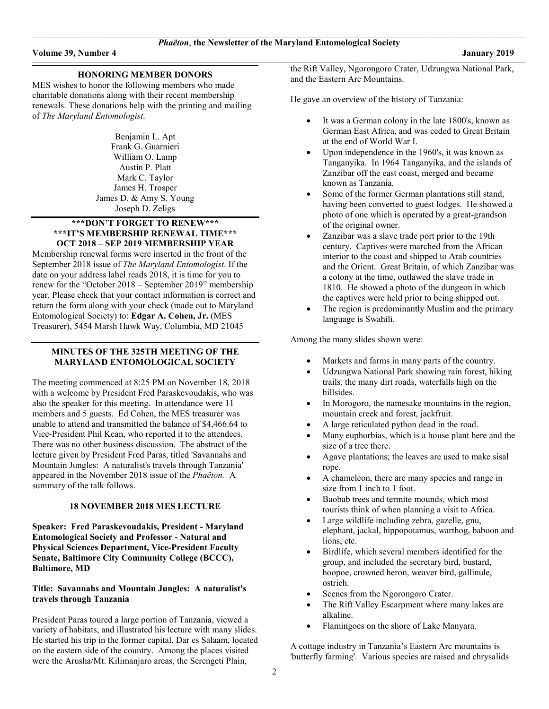#### **\_\_\_\_\_\_\_\_\_\_\_\_\_\_\_\_\_\_\_\_\_\_\_\_\_\_\_\_\_\_\_\_\_\_\_\_\_\_\_\_\_\_\_\_\_\_\_\_\_\_\_\_\_\_\_\_\_\_\_\_\_\_\_\_\_\_\_\_\_\_\_\_\_\_\_\_\_\_\_\_\_\_\_\_\_\_\_\_\_\_\_\_\_\_\_\_\_\_\_\_\_\_\_\_\_\_\_\_\_\_\_\_\_\_\_\_\_\_\_\_\_\_\_\_\_\_\_\_\_\_\_\_\_\_\_\_\_\_\_\_\_\_\_\_\_\_\_\_\_\_\_\_\_\_\_\_\_\_\_\_\_\_\_\_\_\_\_\_ HONORING MEMBER DONORS**

MES wishes to honor the following members who made charitable donations along with their recent membership renewals. These donations help with the printing and mailing of *The Maryland Entomologist*.

> Benjamin L. Apt Frank G. Guarnieri William O. Lamp Austin P. Platt Mark C. Taylor James H. Trosper James D. & Amy S. Young Joseph D. Zeligs

#### **\*\*\*DON'T FORGET TO RENEW\*\*\* \*\*\*IT'S MEMBERSHIP RENEWAL TIME\*\*\* OCT 2018 – SEP 2019 MEMBERSHIP YEAR**

Membership renewal forms were inserted in the front of the September 2018 issue of *The Maryland Entomologist*. If the date on your address label reads 2018, it is time for you to renew for the "October 2018 – September 2019" membership year. Please check that your contact information is correct and return the form along with your check (made out to Maryland Entomological Society) to: **Edgar A. Cohen, Jr.** (MES Treasurer), 5454 Marsh Hawk Way, Columbia, MD 21045

#### **MINUTES OF THE 325TH MEETING OF THE MARYLAND ENTOMOLOGICAL SOCIETY**

The meeting commenced at 8:25 PM on November 18, 2018 with a welcome by President Fred Paraskevoudakis, who was also the speaker for this meeting. In attendance were 11 members and 5 guests. Ed Cohen, the MES treasurer was unable to attend and transmitted the balance of \$4,466.64 to Vice-President Phil Kean, who reported it to the attendees. There was no other business discussion. The abstract of the lecture given by President Fred Paras, titled 'Savannahs and Mountain Jungles: A naturalist's travels through Tanzania' appeared in the November 2018 issue of the *Phaëton.* A summary of the talk follows.

#### **18 NOVEMBER 2018 MES LECTURE**

**Speaker: Fred Paraskevoudakis, President - Maryland Entomological Society and Professor - Natural and Physical Sciences Department, Vice-President Faculty Senate, Baltimore City Community College (BCCC), Baltimore, MD**

#### **Title: Savannahs and Mountain Jungles: A naturalist's travels through Tanzania**

President Paras toured a large portion of Tanzania, viewed a variety of habitats, and illustrated his lecture with many slides. He started his trip in the former capital, Dar es Salaam, located on the eastern side of the country. Among the places visited were the Arusha/Mt. Kilimanjaro areas, the Serengeti Plain,

the Rift Valley, Ngorongoro Crater, Udzungwa National Park, and the Eastern Arc Mountains.

He gave an overview of the history of Tanzania:

- It was a German colony in the late 1800's, known as German East Africa, and was ceded to Great Britain at the end of World War I.
- Upon independence in the 1960's, it was known as Tanganyika. In 1964 Tanganyika, and the islands of Zanzibar off the east coast, merged and became known as Tanzania.
- Some of the former German plantations still stand, having been converted to guest lodges. He showed a photo of one which is operated by a great-grandson of the original owner.
- Zanzibar was a slave trade port prior to the 19th century. Captives were marched from the African interior to the coast and shipped to Arab countries and the Orient. Great Britain, of which Zanzibar was a colony at the time, outlawed the slave trade in 1810. He showed a photo of the dungeon in which the captives were held prior to being shipped out.
- The region is predominantly Muslim and the primary language is Swahili.

Among the many slides shown were:

- Markets and farms in many parts of the country.
- Udzungwa National Park showing rain forest, hiking trails, the many dirt roads, waterfalls high on the hillsides.
- In Morogoro, the namesake mountains in the region, mountain creek and forest, jackfruit.
- A large reticulated python dead in the road.
- Many euphorbias, which is a house plant here and the size of a tree there.
- Agave plantations; the leaves are used to make sisal rope.
- A chameleon, there are many species and range in size from 1 inch to 1 foot.
- Baobab trees and termite mounds, which most tourists think of when planning a visit to Africa.
- Large wildlife including zebra, gazelle, gnu, elephant, jackal, hippopotamus, warthog, baboon and lions, etc.
- Birdlife, which several members identified for the group, and included the secretary bird, bustard, hoopoe, crowned heron, weaver bird, gallinule, ostrich.
- Scenes from the Ngorongoro Crater.
- The Rift Valley Escarpment where many lakes are alkaline.
- Flamingoes on the shore of Lake Manyara.

A cottage industry in Tanzania's Eastern Arc mountains is 'butterfly farming'. Various species are raised and chrysalids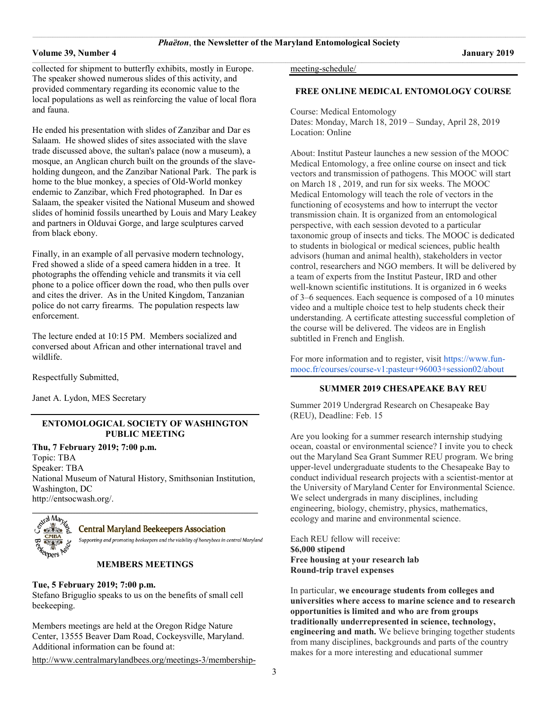#### **Volume 39, Number 4 January 2019**

 $\_$  , and the set of the set of the set of the set of the set of the set of the set of the set of the set of the set of the set of the set of the set of the set of the set of the set of the set of the set of the set of th collected for shipment to butterfly exhibits, mostly in Europe. The speaker showed numerous slides of this activity, and provided commentary regarding its economic value to the local populations as well as reinforcing the value of local flora and fauna.

He ended his presentation with slides of Zanzibar and Dar es Salaam. He showed slides of sites associated with the slave trade discussed above, the sultan's palace (now a museum), a mosque, an Anglican church built on the grounds of the slaveholding dungeon, and the Zanzibar National Park. The park is home to the blue monkey, a species of Old-World monkey endemic to Zanzibar, which Fred photographed. In Dar es Salaam, the speaker visited the National Museum and showed slides of hominid fossils unearthed by Louis and Mary Leakey and partners in Olduvai Gorge, and large sculptures carved from black ebony.

Finally, in an example of all pervasive modern technology, Fred showed a slide of a speed camera hidden in a tree. It photographs the offending vehicle and transmits it via cell phone to a police officer down the road, who then pulls over and cites the driver. As in the United Kingdom, Tanzanian police do not carry firearms. The population respects law enforcement.

The lecture ended at 10:15 PM. Members socialized and conversed about African and other international travel and wildlife.

Respectfully Submitted,

Janet A. Lydon, MES Secretary

#### **ENTOMOLOGICAL SOCIETY OF WASHINGTON PUBLIC MEETING**

**Thu, 7 February 2019; 7:00 p.m.**

Topic: TBA Speaker: TBA National Museum of Natural History, Smithsonian Institution, Washington, DC [http://entsocwash.org/.](http://entsocwash.org/)



#### **Central Maryland Beekeepers Association**

Supporting and promoting beekeepers and the viability of honeybees in central Maryland

#### **MEMBERS MEETINGS**

### **Tue, 5 February 2019; 7:00 p.m.**

Stefano Briguglio speaks to us on the benefits of small cell beekeeping.

Members meetings are held at the Oregon Ridge Nature Center, 13555 Beaver Dam Road, Cockeysville, Maryland. Additional information can be found at:

[http://www.centralmarylandbees.org/meetings-3/membership-](http://www.centralmarylandbees.org/meetings-3/membership-meeting-schedule/)

[meeting-schedule/](http://www.centralmarylandbees.org/meetings-3/membership-meeting-schedule/)

### **FREE ONLINE MEDICAL ENTOMOLOGY COURSE**

Course: Medical Entomology Dates: Monday, March 18, 2019 – Sunday, April 28, 2019 Location: Online

About: Institut Pasteur launches a new session of the MOOC Medical Entomology, a free online course on insect and tick vectors and transmission of pathogens. This MOOC will start on March 18 , 2019, and run for six weeks. The MOOC Medical Entomology will teach the role of vectors in the functioning of ecosystems and how to interrupt the vector transmission chain. It is organized from an entomological perspective, with each session devoted to a particular taxonomic group of insects and ticks. The MOOC is dedicated to students in biological or medical sciences, public health advisors (human and animal health), stakeholders in vector control, researchers and NGO members. It will be delivered by a team of experts from the Institut Pasteur, IRD and other well-known scientific institutions. It is organized in 6 weeks of 3–6 sequences. Each sequence is composed of a 10 minutes video and a multiple choice test to help students check their understanding. A certificate attesting successful completion of the course will be delivered. The videos are in English subtitled in French and English.

For more information and to register, visit [https://www.fun](https://www.fun-mooc.fr/courses/course-v1:pasteur+96003+session02/about)[mooc.fr/courses/course-v1:pasteur+96003+session02/about](https://www.fun-mooc.fr/courses/course-v1:pasteur+96003+session02/about)

#### **\_\_\_\_\_\_\_\_\_\_\_\_\_\_\_\_\_\_\_\_\_\_\_\_\_\_\_\_\_\_\_\_\_\_\_\_\_\_\_\_\_\_\_\_\_\_\_\_\_\_\_\_\_\_\_\_\_\_\_\_\_\_\_\_\_\_\_\_\_\_\_\_\_\_\_\_\_\_\_\_\_\_\_\_\_\_\_\_\_\_\_\_\_\_\_\_\_\_\_\_\_\_\_\_\_\_\_\_\_\_\_\_\_\_\_\_\_\_\_\_\_\_\_\_\_\_\_\_\_\_\_\_\_\_\_\_\_\_\_\_\_\_\_\_\_\_\_\_\_\_\_\_\_\_\_\_\_\_\_\_\_\_\_\_\_\_\_\_ SUMMER 2019 CHESAPEAKE BAY REU**

Summer 2019 Undergrad Research on Chesapeake Bay (REU), Deadline: Feb. 15

Are you looking for a summer research internship studying ocean, coastal or environmental science? I invite you to check out the Maryland Sea Grant Summer REU program. We bring upper-level undergraduate students to the Chesapeake Bay to conduct individual research projects with a scientist-mentor at the University of Maryland Center for Environmental Science. We select undergrads in many disciplines, including engineering, biology, chemistry, physics, mathematics, ecology and marine and environmental science.

Each REU fellow will receive: **\$6,000 stipend Free housing at your research lab Round-trip travel expenses**

In particular, **we encourage students from colleges and universities where access to marine science and to research opportunities is limited and who are from groups traditionally underrepresented in science, technology, engineering and math.** We believe bringing together students from many disciplines, backgrounds and parts of the country makes for a more interesting and educational summer